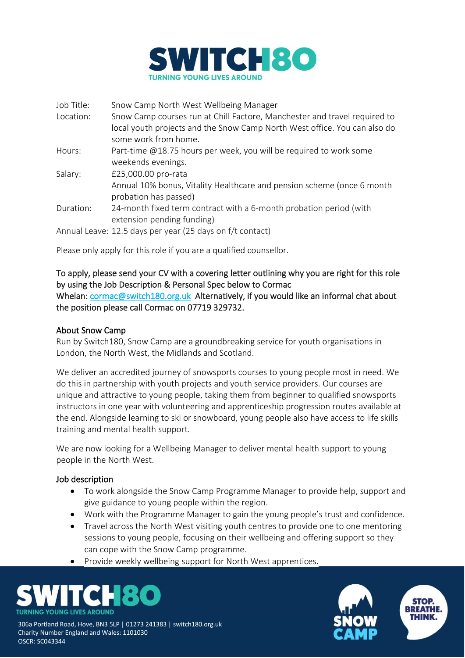

| Job Title: | Snow Camp North West Wellbeing Manager                                                            |
|------------|---------------------------------------------------------------------------------------------------|
| Location:  | Snow Camp courses run at Chill Factore, Manchester and travel required to                         |
|            | local youth projects and the Snow Camp North West office. You can also do<br>some work from home. |
| Hours:     | Part-time @18.75 hours per week, you will be required to work some<br>weekends evenings.          |
| Salary:    | £25,000.00 pro-rata                                                                               |
|            | Annual 10% bonus, Vitality Healthcare and pension scheme (once 6 month<br>probation has passed)   |
| Duration:  | 24-month fixed term contract with a 6-month probation period (with<br>extension pending funding)  |
|            | Annual Leave: 12.5 days per year (25 days on f/t contact)                                         |

Please only apply for this role if you are a qualified counsellor.

## To apply, please send your CV with a covering letter outlining why you are right for this role by using the Job Description & Personal Spec below to Cormac Whelan: [cormac@switch180.org.uk](mailto:cormac@switch180.org.uk) Alternatively, if you would like an informal chat about the position please call Cormac on 07719 329732.

#### About Snow Camp

Run by Switch180, Snow Camp are a groundbreaking service for youth organisations in London, the North West, the Midlands and Scotland.

We deliver an accredited journey of snowsports courses to young people most in need. We do this in partnership with youth projects and youth service providers. Our courses are unique and attractive to young people, taking them from beginner to qualified snowsports instructors in one year with volunteering and apprenticeship progression routes available at the end. Alongside learning to ski or snowboard, young people also have access to life skills training and mental health support.

We are now looking for a Wellbeing Manager to deliver mental health support to young people in the North West.

#### Job description

- To work alongside the Snow Camp Programme Manager to provide help, support and give guidance to young people within the region.
- Work with the Programme Manager to gain the young people's trust and confidence.
- Travel across the North West visiting youth centres to provide one to one mentoring sessions to young people, focusing on their wellbeing and offering support so they can cope with the Snow Camp programme.
- Provide weekly wellbeing support for North West apprentices.



306a Portland Road, Hove, BN3 5LP | 01273 241383 | switch180.org.uk Charity Number England and Wales: 1101030 OSCR: SC043344

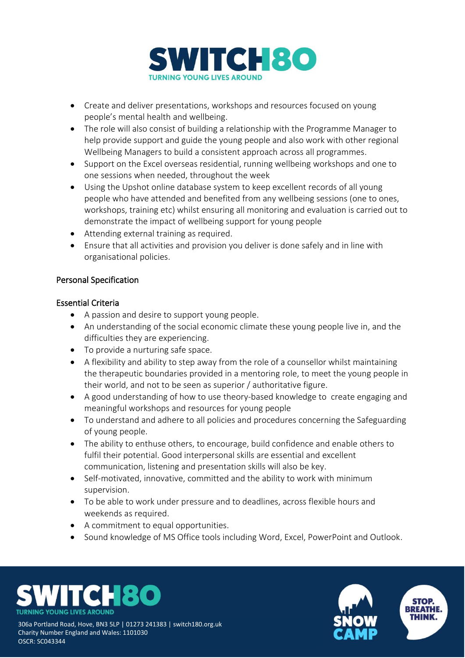

- Create and deliver presentations, workshops and resources focused on young people's mental health and wellbeing.
- The role will also consist of building a relationship with the Programme Manager to help provide support and guide the young people and also work with other regional Wellbeing Managers to build a consistent approach across all programmes.
- Support on the Excel overseas residential, running wellbeing workshops and one to one sessions when needed, throughout the week
- Using the Upshot online database system to keep excellent records of all young people who have attended and benefited from any wellbeing sessions (one to ones, workshops, training etc) whilst ensuring all monitoring and evaluation is carried out to demonstrate the impact of wellbeing support for young people
- Attending external training as required.
- Ensure that all activities and provision you deliver is done safely and in line with organisational policies.

# Personal Specification

### Essential Criteria

- A passion and desire to support young people.
- An understanding of the social economic climate these young people live in, and the difficulties they are experiencing.
- To provide a nurturing safe space.
- A flexibility and ability to step away from the role of a counsellor whilst maintaining the therapeutic boundaries provided in a mentoring role, to meet the young people in their world, and not to be seen as superior / authoritative figure.
- A good understanding of how to use theory-based knowledge to create engaging and meaningful workshops and resources for young people
- To understand and adhere to all policies and procedures concerning the Safeguarding of young people.
- The ability to enthuse others, to encourage, build confidence and enable others to fulfil their potential. Good interpersonal skills are essential and excellent communication, listening and presentation skills will also be key.
- Self-motivated, innovative, committed and the ability to work with minimum supervision.
- To be able to work under pressure and to deadlines, across flexible hours and weekends as required.
- A commitment to equal opportunities.
- Sound knowledge of MS Office tools including Word, Excel, PowerPoint and Outlook.



306a Portland Road, Hove, BN3 5LP | 01273 241383 | switch180.org.uk Charity Number England and Wales: 1101030 OSCR: SC043344